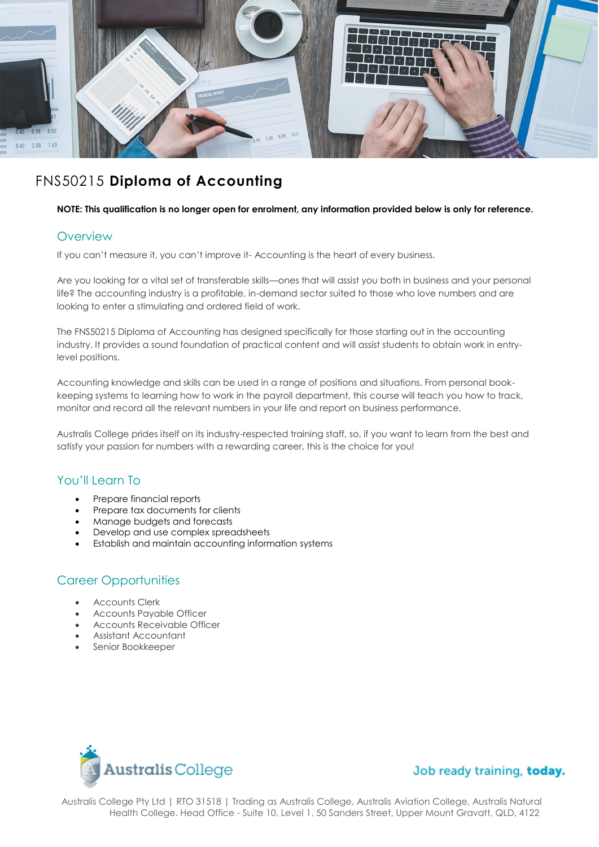

# FNS50215 **Diploma of Accounting**

#### **NOTE: This qualification is no longer open for enrolment, any information provided below is only for reference.**

#### **Overview**

If you can't measure it, you can't improve it- Accounting is the heart of every business.

Are you looking for a vital set of transferable skills—ones that will assist you both in business and your personal life? The accounting industry is a profitable, in-demand sector suited to those who love numbers and are looking to enter a stimulating and ordered field of work.

The FNS50215 Diploma of Accounting has designed specifically for those starting out in the accounting industry. It provides a sound foundation of practical content and will assist students to obtain work in entrylevel positions.

Accounting knowledge and skills can be used in a range of positions and situations. From personal bookkeeping systems to learning how to work in the payroll department, this course will teach you how to track, monitor and record all the relevant numbers in your life and report on business performance.

Australis College prides itself on its industry-respected training staff, so, if you want to learn from the best and satisfy your passion for numbers with a rewarding career, this is the choice for you!

# You'll Learn To

- Prepare financial reports
- Prepare tax documents for clients
- Manage budgets and forecasts
- Develop and use complex spreadsheets
- Establish and maintain accounting information systems

# Career Opportunities

- Accounts Clerk
- Accounts Payable Officer
- Accounts Receivable Officer
- Assistant Accountant
- Senior Bookkeeper



# Job ready training, today.

Australis College Pty Ltd | RTO 31518 | Trading as Australis College, Australis Aviation College, Australis Natural Health College. Head Office - Suite 10, Level 1, 50 Sanders Street, Upper Mount Gravatt, QLD, 4122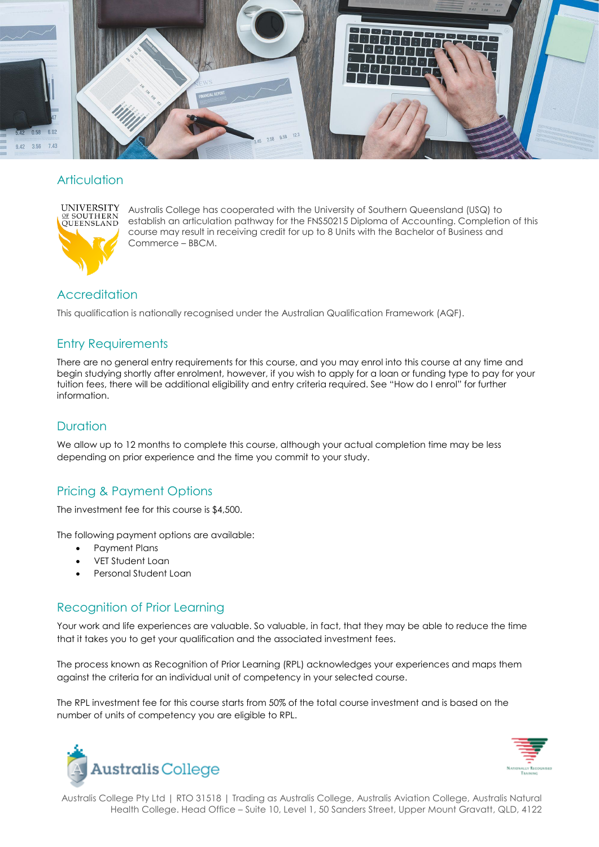

### **Articulation**



Australis College has cooperated with the University of Southern Queensland (USQ) to establish an articulation pathway for the FNS50215 Diploma of Accounting. Completion of this course may result in receiving credit for up to 8 Units with the Bachelor of Business and Commerce – BBCM.

# **Accreditation**

This qualification is nationally recognised under the Australian Qualification Framework (AQF).

# Entry Requirements

There are no general entry requirements for this course, and you may enrol into this course at any time and begin studying shortly after enrolment, however, if you wish to apply for a loan or funding type to pay for your tuition fees, there will be additional eligibility and entry criteria required. See "How do I enrol" for further information.

# **Duration**

We allow up to 12 months to complete this course, although your actual completion time may be less depending on prior experience and the time you commit to your study.

# Pricing & Payment Options

The investment fee for this course is \$4,500.

The following payment options are available:

- Payment Plans
- VET Student Loan
- Personal Student Loan

# Recognition of Prior Learning

Your work and life experiences are valuable. So valuable, in fact, that they may be able to reduce the time that it takes you to get your qualification and the associated investment fees.

The process known as Recognition of Prior Learning (RPL) acknowledges your experiences and maps them against the criteria for an individual unit of competency in your selected course.

The RPL investment fee for this course starts from 50% of the total course investment and is based on the number of units of competency you are eligible to RPL.